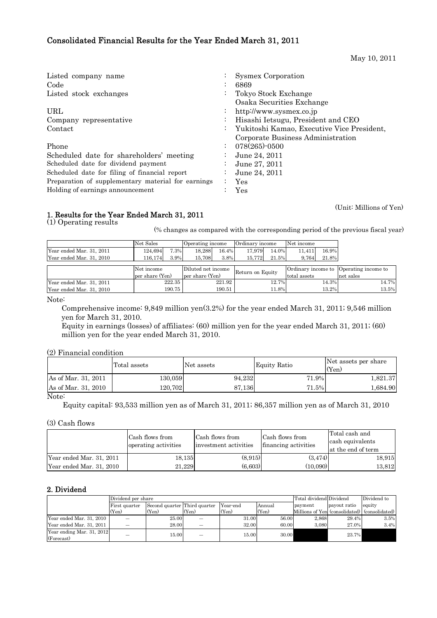## Consolidated Financial Results for the Year Ended March 31, 2011

May 10, 2011

| Listed company name                                |           | Sysmex Corporation                         |
|----------------------------------------------------|-----------|--------------------------------------------|
| Code                                               | $\cdot$   | 6869                                       |
| Listed stock exchanges                             |           | Tokyo Stock Exchange                       |
|                                                    |           | Osaka Securities Exchange                  |
| URL                                                | $\bullet$ | http://www.sysmex.co.jp                    |
| Company representative                             | $\bullet$ | Hisashi Ietsugu, President and CEO         |
| Contact                                            |           | Yukitoshi Kamao, Executive Vice President, |
|                                                    |           | Corporate Business Administration          |
| Phone                                              |           | $078(265)$ -0500                           |
| Scheduled date for shareholders' meeting           |           | June 24, 2011                              |
| Scheduled date for dividend payment                |           | June 27, 2011                              |
| Scheduled date for filing of financial report      | $\bullet$ | June 24, 2011                              |
| Preparation of supplementary material for earnings |           | Yes                                        |
| Holding of earnings announcement                   |           | $\operatorname{Yes}$                       |

(Unit: Millions of Yen)

## 1. Results for the Year Ended March 31, 2011

(1) Operating results

(% changes as compared with the corresponding period of the previous fiscal year)

|                          | Net Sales       |        | Operating income   |        | Ordinary income  |       | Net income   |       |                                        |       |
|--------------------------|-----------------|--------|--------------------|--------|------------------|-------|--------------|-------|----------------------------------------|-------|
| Year ended Mar. 31, 2011 | 124.694         | 7.3%   | 18.288             | 16.4%  | 17.979           | 14.0% | 11.411       | 16.9% |                                        |       |
| Year ended Mar. 31, 2010 | 116.174         | 3.9%   | 15,708             | 3.8%   | 15.772           | 21.5% | 9,764        | 21.8% |                                        |       |
|                          |                 |        |                    |        |                  |       |              |       |                                        |       |
|                          | Net income      |        | Diluted net income |        | Return on Equity |       |              |       | Ordinary income to Operating income to |       |
|                          | per share (Yen) |        | per share (Yen)    |        |                  |       | total assets |       | net sales                              |       |
| Year ended Mar. 31, 2011 |                 | 222.35 |                    | 221.92 |                  | 12.7% |              | 14.3% |                                        | 14.7% |
| Year ended Mar. 31, 2010 |                 | 190.75 |                    | 190.51 |                  | 11.8% |              | 13.2% |                                        | 13.5% |

Note:

 Comprehensive income: 9,849 million yen(3.2%) for the year ended March 31, 2011; 9,546 million yen for March 31, 2010.

Equity in earnings (losses) of affiliates: (60) million yen for the year ended March 31, 2011; (60) million yen for the year ended March 31, 2010.

(2) Financial condition

| As of Mar. 31, 2011<br>71.9%<br>94.232<br>130.059 |                     | Total assets | Net assets | <b>Equity Ratio</b> | Net assets per share<br>(Yen) |
|---------------------------------------------------|---------------------|--------------|------------|---------------------|-------------------------------|
|                                                   |                     |              |            |                     | 1,821.37                      |
|                                                   | As of Mar. 31, 2010 | 120.702      | 87.136     | 71.5%               | 1,684.90                      |

#### Note:

Equity capital: 93,533 million yen as of March 31, 2011; 86,357 million yen as of March 31, 2010

(3) Cash flows

|                          | Cash flows from<br>operating activities | Cash flows from<br>investment activities | Cash flows from<br>financing activities | Total cash and<br>cash equivalents<br>at the end of term |  |
|--------------------------|-----------------------------------------|------------------------------------------|-----------------------------------------|----------------------------------------------------------|--|
| Year ended Mar. 31, 2011 | 18,135                                  | (8.915)                                  | (3.474)                                 | 18,915                                                   |  |
| Year ended Mar. 31, 2010 | 21.229                                  | (6.603)                                  | (10.090)                                | 13,812                                                   |  |

#### 2. Dividend

|                                         | Dividend per share                            |       | Total dividend Dividend |                    | Dividend to |         |              |                                               |
|-----------------------------------------|-----------------------------------------------|-------|-------------------------|--------------------|-------------|---------|--------------|-----------------------------------------------|
|                                         | Second quarter Third quarter<br>First quarter |       |                         | Year-end<br>Annual |             | payment | payout ratio | equity                                        |
|                                         | (Yen)                                         | (Yen) | (Yen)                   | (Yen)              | (Yen)       |         |              | Millions of Yen (consolidated) (consolidated) |
| Year ended Mar. 31, 2010                |                                               | 25.00 |                         | 31.00              | 56.00       | 2.868   | 29.4%        | 3.5%                                          |
| Year ended Mar. 31, 2011                |                                               | 28.00 |                         | 32.00              | 60.00       | 3.080   | 27.0%        | 3.4%                                          |
| Year ending Mar. 31, 2012<br>(Forecast) |                                               | 15.00 |                         | 15.00              | 30.00       |         | 23.7%        |                                               |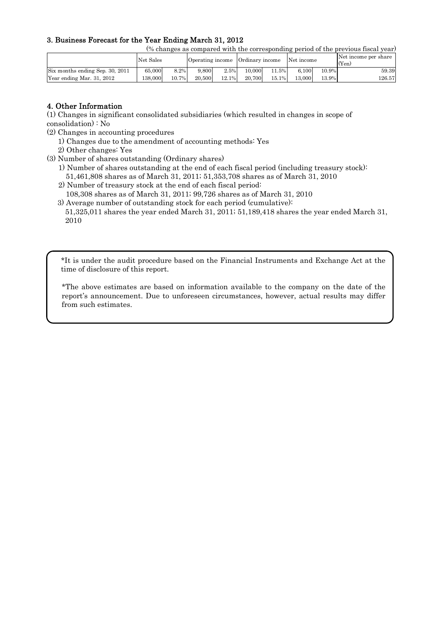## 3. Business Forecast for the Year Ending March 31, 2012

(% changes as compared with the corresponding period of the previous fiscal year)

|                                 | Net Sales |       | Operating income |          | Ordinary income |         | Net income |       | Net income per share<br>(Yen) |
|---------------------------------|-----------|-------|------------------|----------|-----------------|---------|------------|-------|-------------------------------|
| Six months ending Sep. 30, 2011 | 65,000    | 8.2%  | 9.800            | 2.5%     | 10.000          | $1.5\%$ | 6.100      | 10.9% | 59.39                         |
| Year ending Mar. 31, 2012       | 138.000   | 10.7% | 20,500           | $12.1\%$ | 20.700          | 15.1%   | 13,000     | 13.9% | 126.571                       |

## 4. Other Information

(1) Changes in significant consolidated subsidiaries (which resulted in changes in scope of consolidation) : No

- (2) Changes in accounting procedures
	- 1) Changes due to the amendment of accounting methods: Yes
	- 2) Other changes: Yes
- (3) Number of shares outstanding (Ordinary shares)
	- 1) Number of shares outstanding at the end of each fiscal period (including treasury stock): 51,461,808 shares as of March 31, 2011; 51,353,708 shares as of March 31, 2010
	- 2) Number of treasury stock at the end of each fiscal period:
	- 108,308 shares as of March 31, 2011; 99,726 shares as of March 31, 2010
	- 3) Average number of outstanding stock for each period (cumulative): 51,325,011 shares the year ended March 31, 2011; 51,189,418 shares the year ended March 31, 2010

\*It is under the audit procedure based on the Financial Instruments and Exchange Act at the time of disclosure of this report.

\*The above estimates are based on information available to the company on the date of the report's announcement. Due to unforeseen circumstances, however, actual results may differ from such estimates.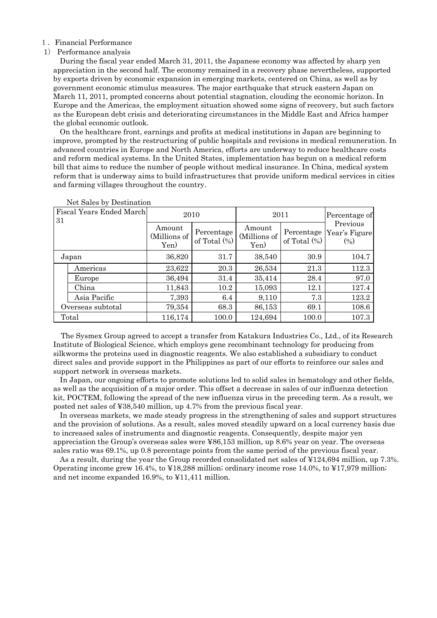#### 1.Financial Performance

#### 1) Performance analysis

During the fiscal year ended March 31, 2011, the Japanese economy was affected by sharp yen appreciation in the second half. The economy remained in a recovery phase nevertheless, supported by exports driven by economic expansion in emerging markets, centered on China, as well as by government economic stimulus measures. The major earthquake that struck eastern Japan on March 11, 2011, prompted concerns about potential stagnation, clouding the economic horizon. In Europe and the Americas, the employment situation showed some signs of recovery, but such factors as the European debt crisis and deteriorating circumstances in the Middle East and Africa hamper the global economic outlook.

On the healthcare front, earnings and profits at medical institutions in Japan are beginning to improve, prompted by the restructuring of public hospitals and revisions in medical remuneration. In advanced countries in Europe and North America, efforts are underway to reduce healthcare costs and reform medical systems. In the United States, implementation has begun on a medical reform bill that aims to reduce the number of people without medical insurance. In China, medical system reform that is underway aims to build infrastructures that provide uniform medical services in cities and farming villages throughout the country.

| Fiscal Years Ended March<br>31 | 2010                           |                               |                                | 2011            |                                               |  |  |
|--------------------------------|--------------------------------|-------------------------------|--------------------------------|-----------------|-----------------------------------------------|--|--|
|                                | Amount<br>(Millions of<br>Yen) | Percentage<br>of Total $(\%)$ | Amount<br>(Millions of<br>Yen) | of Total $(\%)$ | Previous<br>Percentage Year's Figure<br>(0/0) |  |  |
| Japan                          | 36,820                         | 31.7                          | 38,540                         | 30.9            | 104.7                                         |  |  |
| Americas                       | 23,622                         | 20.3                          | 26,534                         | 21.3            | 112.3                                         |  |  |
| Europe                         | 36,494                         | 31.4                          | 35,414                         | 28.4            | 97.0                                          |  |  |
| China                          | 11,843                         | 10.2                          | 15,093                         | 12.1            | 127.4                                         |  |  |
| Asia Pacific                   | 7,393                          | 6.4                           | 9,110                          | 7.3             | 123.2                                         |  |  |
| Overseas subtotal              | 79,354                         | 68.3                          | 86,153                         | 69.1            | 108.6                                         |  |  |
| Total                          | 116,174                        | 100.0                         | 124,694                        | 100.0           | 107.3                                         |  |  |

Net Sales by Destination

The Sysmex Group agreed to accept a transfer from Katakura Industries Co., Ltd., of its Research Institute of Biological Science, which employs gene recombinant technology for producing from silkworms the proteins used in diagnostic reagents. We also established a subsidiary to conduct direct sales and provide support in the Philippines as part of our efforts to reinforce our sales and support network in overseas markets.

In Japan, our ongoing efforts to promote solutions led to solid sales in hematology and other fields, as well as the acquisition of a major order. This offset a decrease in sales of our influenza detection kit, POCTEM, following the spread of the new influenza virus in the preceding term. As a result, we posted net sales of ¥38,540 million, up 4.7% from the previous fiscal year.

In overseas markets, we made steady progress in the strengthening of sales and support structures and the provision of solutions. As a result, sales moved steadily upward on a local currency basis due to increased sales of instruments and diagnostic reagents. Consequently, despite major yen appreciation the Group's overseas sales were ¥86,153 million, up 8.6% year on year. The overseas sales ratio was 69.1%, up 0.8 percentage points from the same period of the previous fiscal year.

As a result, during the year the Group recorded consolidated net sales of ¥124,694 million, up 7.3%. Operating income grew 16.4%, to ¥18,288 million; ordinary income rose 14.0%, to ¥17,979 million; and net income expanded 16.9%, to ¥11,411 million.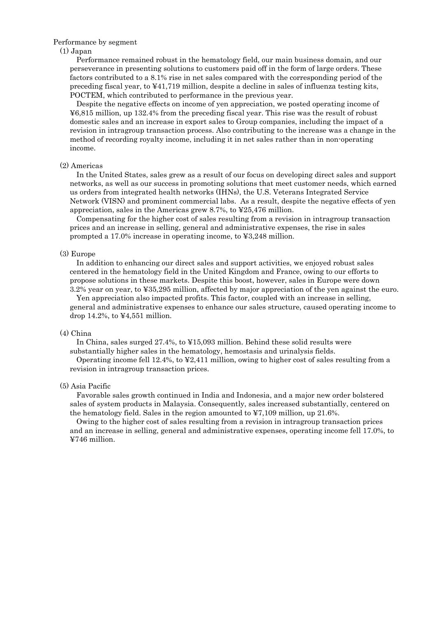#### Performance by segment

#### (1) Japan

Performance remained robust in the hematology field, our main business domain, and our perseverance in presenting solutions to customers paid off in the form of large orders. These factors contributed to a 8.1% rise in net sales compared with the corresponding period of the preceding fiscal year, to ¥41,719 million, despite a decline in sales of influenza testing kits, POCTEM, which contributed to performance in the previous year.

Despite the negative effects on income of yen appreciation, we posted operating income of ¥6,815 million, up 132.4% from the preceding fiscal year. This rise was the result of robust domestic sales and an increase in export sales to Group companies, including the impact of a revision in intragroup transaction process. Also contributing to the increase was a change in the method of recording royalty income, including it in net sales rather than in non-operating income.

#### (2) Americas

In the United States, sales grew as a result of our focus on developing direct sales and support networks, as well as our success in promoting solutions that meet customer needs, which earned us orders from integrated health networks (IHNs), the U.S. Veterans Integrated Service Network (VISN) and prominent commercial labs. As a result, despite the negative effects of yen appreciation, sales in the Americas grew 8.7%, to ¥25,476 million.

Compensating for the higher cost of sales resulting from a revision in intragroup transaction prices and an increase in selling, general and administrative expenses, the rise in sales prompted a 17.0% increase in operating income, to ¥3,248 million.

#### (3) Europe

In addition to enhancing our direct sales and support activities, we enjoyed robust sales centered in the hematology field in the United Kingdom and France, owing to our efforts to propose solutions in these markets. Despite this boost, however, sales in Europe were down 3.2% year on year, to ¥35,295 million, affected by major appreciation of the yen against the euro.

Yen appreciation also impacted profits. This factor, coupled with an increase in selling, general and administrative expenses to enhance our sales structure, caused operating income to drop 14.2%, to ¥4,551 million.

#### (4) China

In China, sales surged 27.4%, to ¥15,093 million. Behind these solid results were substantially higher sales in the hematology, hemostasis and urinalysis fields.

Operating income fell 12.4%, to ¥2,411 million, owing to higher cost of sales resulting from a revision in intragroup transaction prices.

#### (5) Asia Pacific

Favorable sales growth continued in India and Indonesia, and a major new order bolstered sales of system products in Malaysia. Consequently, sales increased substantially, centered on the hematology field. Sales in the region amounted to  $\text{\textsterling}7,109$  million, up 21.6%.

Owing to the higher cost of sales resulting from a revision in intragroup transaction prices and an increase in selling, general and administrative expenses, operating income fell 17.0%, to ¥746 million.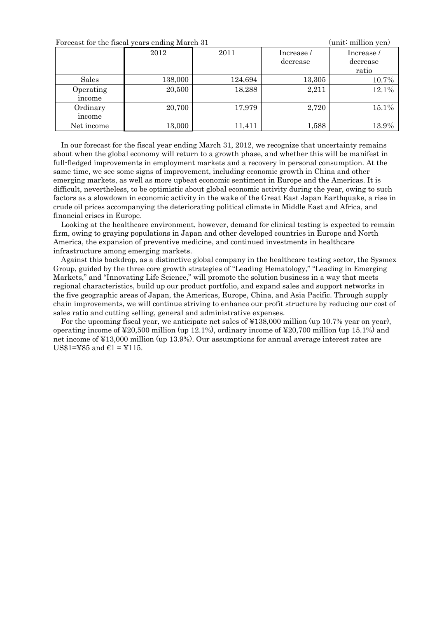| Forecast for the fiscal years ending March 31 | (unit∶ million yen) |         |                       |                                |
|-----------------------------------------------|---------------------|---------|-----------------------|--------------------------------|
|                                               | 2012                | 2011    | Increase/<br>decrease | Increase/<br>decrease<br>ratio |
| Sales                                         | 138,000             | 124,694 | 13,305                | 10.7%                          |
| Operating<br>income                           | 20,500              | 18,288  | 2,211                 | 12.1%                          |
| Ordinary<br>income                            | 20,700              | 17,979  | 2,720                 | $15.1\%$                       |
| Net income                                    | 13,000              | 11,411  | 1,588                 | 13.9%                          |

In our forecast for the fiscal year ending March 31, 2012, we recognize that uncertainty remains about when the global economy will return to a growth phase, and whether this will be manifest in full-fledged improvements in employment markets and a recovery in personal consumption. At the same time, we see some signs of improvement, including economic growth in China and other emerging markets, as well as more upbeat economic sentiment in Europe and the Americas. It is difficult, nevertheless, to be optimistic about global economic activity during the year, owing to such factors as a slowdown in economic activity in the wake of the Great East Japan Earthquake, a rise in crude oil prices accompanying the deteriorating political climate in Middle East and Africa, and financial crises in Europe.

Looking at the healthcare environment, however, demand for clinical testing is expected to remain firm, owing to graying populations in Japan and other developed countries in Europe and North America, the expansion of preventive medicine, and continued investments in healthcare infrastructure among emerging markets.

Against this backdrop, as a distinctive global company in the healthcare testing sector, the Sysmex Group, guided by the three core growth strategies of "Leading Hematology," "Leading in Emerging Markets," and "Innovating Life Science," will promote the solution business in a way that meets regional characteristics, build up our product portfolio, and expand sales and support networks in the five geographic areas of Japan, the Americas, Europe, China, and Asia Pacific. Through supply chain improvements, we will continue striving to enhance our profit structure by reducing our cost of sales ratio and cutting selling, general and administrative expenses.

For the upcoming fiscal year, we anticipate net sales of ¥138,000 million (up 10.7% year on year), operating income of ¥20,500 million (up 12.1%), ordinary income of ¥20,700 million (up 15.1%) and net income of ¥13,000 million (up 13.9%). Our assumptions for annual average interest rates are US\$1=¥85 and  $\epsilon$ 1 = ¥115.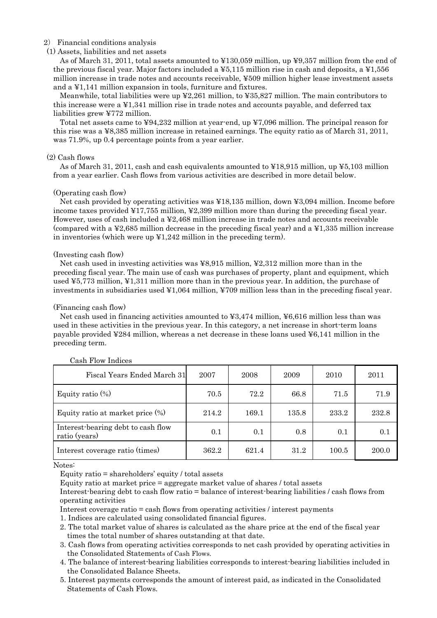#### 2) Financial conditions analysis

#### (1) Assets, liabilities and net assets

As of March 31, 2011, total assets amounted to ¥130,059 million, up ¥9,357 million from the end of the previous fiscal year. Major factors included a ¥5,115 million rise in cash and deposits, a ¥1,556 million increase in trade notes and accounts receivable, ¥509 million higher lease investment assets and a ¥1,141 million expansion in tools, furniture and fixtures.

Meanwhile, total liabilities were up ¥2,261 million, to ¥35,827 million. The main contributors to this increase were a ¥1,341 million rise in trade notes and accounts payable, and deferred tax liabilities grew ¥772 million.

Total net assets came to ¥94,232 million at year-end, up ¥7,096 million. The principal reason for this rise was a ¥8,385 million increase in retained earnings. The equity ratio as of March 31, 2011, was 71.9%, up 0.4 percentage points from a year earlier.

#### (2) Cash flows

As of March 31, 2011, cash and cash equivalents amounted to  $\yen 18,915$  million, up  $\yen 5,103$  million from a year earlier. Cash flows from various activities are described in more detail below.

#### (Operating cash flow)

Net cash provided by operating activities was ¥18,135 million, down ¥3,094 million. Income before income taxes provided ¥17,755 million, ¥2,399 million more than during the preceding fiscal year. However, uses of cash included a ¥2,468 million increase in trade notes and accounts receivable (compared with a ¥2,685 million decrease in the preceding fiscal year) and a ¥1,335 million increase in inventories (which were up ¥1,242 million in the preceding term).

#### (Investing cash flow)

Net cash used in investing activities was ¥8,915 million, ¥2,312 million more than in the preceding fiscal year. The main use of cash was purchases of property, plant and equipment, which used ¥5,773 million, ¥1,311 million more than in the previous year. In addition, the purchase of investments in subsidiaries used ¥1,064 million, ¥709 million less than in the preceding fiscal year.

#### (Financing cash flow)

Net cash used in financing activities amounted to  $\textless 3,474$  million,  $\textless 6,616$  million less than was used in these activities in the previous year. In this category, a net increase in short-term loans payable provided ¥284 million, whereas a net decrease in these loans used ¥6,141 million in the preceding term.

| Fiscal Years Ended March 31                         | 2007  | 2008  | 2009  | 2010  | 2011  |
|-----------------------------------------------------|-------|-------|-------|-------|-------|
| Equity ratio $(\%)$                                 | 70.5  | 72.2  | 66.8  | 71.5  | 71.9  |
| Equity ratio at market price (%)                    | 214.2 | 169.1 | 135.8 | 233.2 | 232.8 |
| Interest-bearing debt to cash flow<br>ratio (years) | 0.1   | 0.1   | 0.8   | 0.1   | 0.1   |
| Interest coverage ratio (times)                     | 362.2 | 621.4 | 31.2  | 100.5 | 200.0 |

#### Cash Flow Indices

Notes:

Equity ratio = shareholders' equity / total assets

Equity ratio at market price = aggregate market value of shares / total assets

Interest-bearing debt to cash flow ratio = balance of interest-bearing liabilities / cash flows from operating activities

Interest coverage ratio = cash flows from operating activities / interest payments

1. Indices are calculated using consolidated financial figures.

- 2. The total market value of shares is calculated as the share price at the end of the fiscal year times the total number of shares outstanding at that date.
- 3. Cash flows from operating activities corresponds to net cash provided by operating activities in the Consolidated Statements of Cash Flows.
- 4. The balance of interest-bearing liabilities corresponds to interest-bearing liabilities included in the Consolidated Balance Sheets.
- 5. Interest payments corresponds the amount of interest paid, as indicated in the Consolidated Statements of Cash Flows.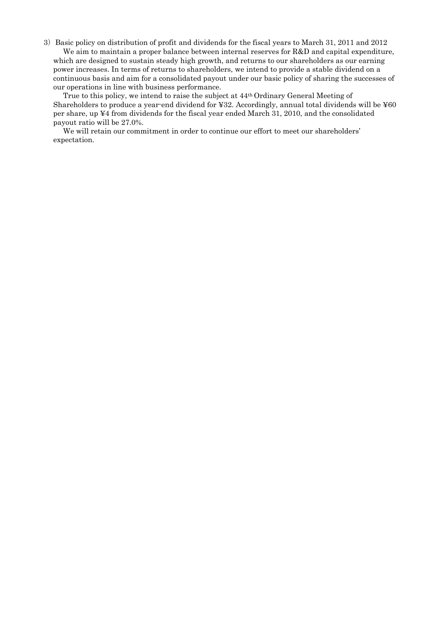3)Basic policy on distribution of profit and dividends for the fiscal years to March 31, 2011 and 2012 We aim to maintain a proper balance between internal reserves for R&D and capital expenditure,

which are designed to sustain steady high growth, and returns to our shareholders as our earning power increases. In terms of returns to shareholders, we intend to provide a stable dividend on a continuous basis and aim for a consolidated payout under our basic policy of sharing the successes of our operations in line with business performance.

True to this policy, we intend to raise the subject at 44th Ordinary General Meeting of Shareholders to produce a year-end dividend for ¥32. Accordingly, annual total dividends will be ¥60 per share, up ¥4 from dividends for the fiscal year ended March 31, 2010, and the consolidated payout ratio will be 27.0%.

We will retain our commitment in order to continue our effort to meet our shareholders' expectation.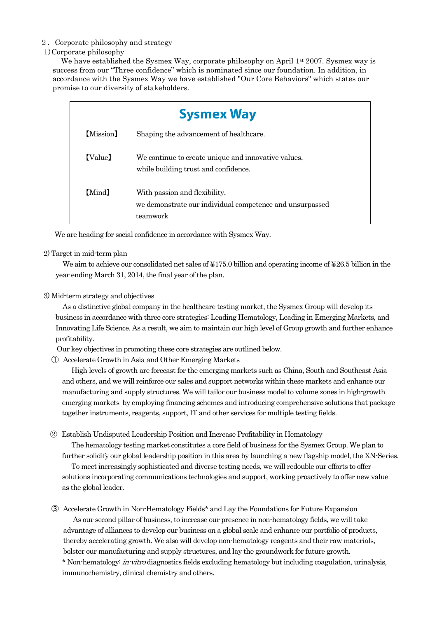## 2.Corporate philosophy and strategy

## 1)Corporate philosophy

We have established the Sysmex Way, corporate philosophy on April 1<sup>st</sup> 2007. Sysmex way is success from our "Three confidence" which is nominated since our foundation. In addition, in accordance with the Sysmex Way we have established "Our Core Behaviors" which states our promise to our diversity of stakeholders.

|           | <b>Sysmex Way</b>                                                                                     |
|-----------|-------------------------------------------------------------------------------------------------------|
| [Mission] | Shaping the advancement of healthcare.                                                                |
| (Value)   | We continue to create unique and innovative values,<br>while building trust and confidence.           |
| [Mind]    | With passion and flexibility,<br>we demonstrate our individual competence and unsurpassed<br>teamwork |

We are heading for social confidence in accordance with Sysmex Way.

## 2) Target in mid-term plan

We aim to achieve our consolidated net sales of ¥175.0 billion and operating income of ¥26.5 billion in the year ending March 31, 2014, the final year of the plan.

## 3) Mid-term strategy and objectives

As a distinctive global company in the healthcare testing market, the Sysmex Group will develop its business in accordance with three core strategies: Leading Hematology, Leading in Emerging Markets, and Innovating Life Science. As a result, we aim to maintain our high level of Group growth and further enhance profitability.

Our key objectives in promoting these core strategies are outlined below.

① Accelerate Growth in Asia and Other Emerging Markets

High levels of growth are forecast for the emerging markets such as China, South and Southeast Asia and others, and we will reinforce our sales and support networks within these markets and enhance our manufacturing and supply structures. We will tailor our business model to volume zones in high-growth emerging markets by employing financing schemes and introducing comprehensive solutions that package together instruments, reagents, support, IT and other services for multiple testing fields.

② Establish Undisputed Leadership Position and Increase Profitability in Hematology

The hematology testing market constitutes a core field of business for the Sysmex Group. We plan to further solidify our global leadership position in this area by launching a new flagship model, the XN-Series. To meet increasingly sophisticated and diverse testing needs, we will redouble our efforts to offer solutions incorporating communications technologies and support, working proactively to offer new value as the global leader.

③ Accelerate Growth in Non-Hematology Fields\* and Lay the Foundations for Future Expansion As our second pillar of business, to increase our presence in non-hematology fields, we will take advantage of alliances to develop our business on a global scale and enhance our portfolio of products, thereby accelerating growth. We also will develop non-hematology reagents and their raw materials, bolster our manufacturing and supply structures, and lay the groundwork for future growth. \* Non-hematology: in-vitro diagnostics fields excluding hematology but including coagulation, urinalysis, immunochemistry, clinical chemistry and others.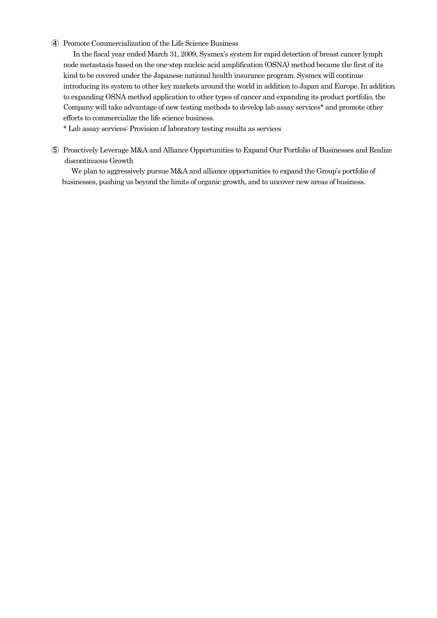## ④ Promote Commercialization of the Life Science Business

In the fiscal year ended March 31, 2009, Sysmex's system for rapid detection of breast cancer lymph node metastasis based on the one-step nucleic acid amplification (OSNA) method became the first of its kind to be covered under the Japanese national health insurance program. Sysmex will continue introducing its system to other key markets around the world in addition to Japan and Europe. In addition to expanding OSNA method application to other types of cancer and expanding its product portfolio, the Company will take advantage of new testing methods to develop lab assay services\* and promote other efforts to commercialize the life science business.

\* Lab assay services: Provision of laboratory testing results as services

⑤ Proactively Leverage M&A and Alliance Opportunities to Expand Our Portfolio of Businesses and Realize discontinuous Growth

We plan to aggressively pursue M&A and alliance opportunities to expand the Group's portfolio of businesses, pushing us beyond the limits of organic growth, and to uncover new areas of business.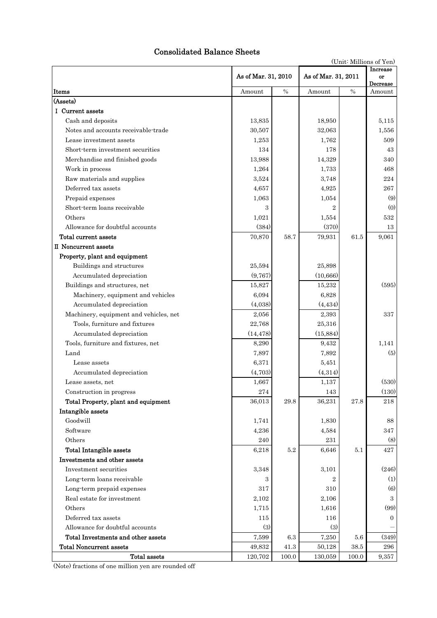# Consolidated Balance Sheets

|                                        |                     | (Unit: Millions of Yen) |                     |                            |                |  |
|----------------------------------------|---------------------|-------------------------|---------------------|----------------------------|----------------|--|
|                                        | As of Mar. 31, 2010 |                         | As of Mar. 31, 2011 | Increase<br>or<br>Decrease |                |  |
| Items                                  | Amount              | $\%$                    | Amount              | $\%$                       | Amount         |  |
| (Assets)                               |                     |                         |                     |                            |                |  |
| I Current assets                       |                     |                         |                     |                            |                |  |
| Cash and deposits                      | 13,835              |                         | 18,950              |                            | 5,115          |  |
| Notes and accounts receivable-trade    | 30,507              |                         | 32,063              |                            | 1,556          |  |
| Lease investment assets                | 1,253               |                         | 1,762               |                            | 509            |  |
| Short-term investment securities       | 134                 |                         | 178                 |                            | 43             |  |
| Merchandise and finished goods         | 13,988              |                         | 14,329              |                            | 340            |  |
| Work in process                        | 1,264               |                         | 1,733               |                            | 468            |  |
| Raw materials and supplies             | 3,524               |                         | 3,748               |                            | 224            |  |
| Deferred tax assets                    | 4,657               |                         | 4,925               |                            | 267            |  |
| Prepaid expenses                       | 1,063               |                         | 1,054               |                            | (9)            |  |
| Short-term loans receivable            | 3                   |                         | $\overline{2}$      |                            | (0)            |  |
| Others                                 | 1,021               |                         | 1,554               |                            | 532            |  |
| Allowance for doubtful accounts        | (384)               |                         | (370)               |                            | 13             |  |
| Total current assets                   | 70,870              | 58.7                    | 79,931              | 61.5                       | 9,061          |  |
| II Noncurrent assets                   |                     |                         |                     |                            |                |  |
| Property, plant and equipment          |                     |                         |                     |                            |                |  |
| Buildings and structures               | 25,594              |                         | 25,898              |                            |                |  |
| Accumulated depreciation               | (9,767)             |                         | (10, 666)           |                            |                |  |
| Buildings and structures, net          | 15,827              |                         | 15,232              |                            | (595)          |  |
| Machinery, equipment and vehicles      | 6,094               |                         | 6,828               |                            |                |  |
| Accumulated depreciation               | (4,038)             |                         | (4, 434)            |                            |                |  |
| Machinery, equipment and vehicles, net | 2,056               |                         | 2,393               |                            | 337            |  |
| Tools, furniture and fixtures          | 22,768              |                         | 25,316              |                            |                |  |
| Accumulated depreciation               | (14, 478)           |                         | (15, 884)           |                            |                |  |
| Tools, furniture and fixtures, net     | 8,290               |                         | 9,432               |                            | 1,141          |  |
| Land                                   | 7,897               |                         | 7,892               |                            | (5)            |  |
| Lease assets                           | 6,371               |                         | 5,451               |                            |                |  |
| Accumulated depreciation               | (4,703)             |                         | (4,314)             |                            |                |  |
| Lease assets, net                      | 1,667               |                         | 1,137               |                            | (530)          |  |
| Construction in progress               | 274                 |                         | 143                 |                            | (130)          |  |
| Total Property, plant and equipment    | 36,013              | 29.8                    | 36,231              | $27.8\,$                   | 218            |  |
| Intangible assets                      |                     |                         |                     |                            |                |  |
| Goodwill                               | 1,741               |                         | 1,830               |                            | 88             |  |
| Software                               | 4,236               |                         | 4,584               |                            | 347            |  |
| Others                                 | 240                 |                         | 231                 |                            | (8)            |  |
| <b>Total Intangible assets</b>         | 6,218               | 5.2                     | 6,646               | 5.1                        | 427            |  |
| Investments and other assets           |                     |                         |                     |                            |                |  |
| Investment securities                  | 3,348               |                         | 3,101               |                            | (246)          |  |
| Long-term loans receivable             | з                   |                         | $\overline{2}$      |                            | (1)            |  |
| Long-term prepaid expenses             | 317                 |                         | 310                 |                            | (6)            |  |
| Real estate for investment             | 2,102               |                         | 2,106               |                            | 3              |  |
| Others                                 | 1,715               |                         | 1,616               |                            | (99)           |  |
| Deferred tax assets                    | 115                 |                         | 116                 |                            | $\overline{0}$ |  |
| Allowance for doubtful accounts        | (3)                 |                         | (3)                 |                            |                |  |
| Total Investments and other assets     | 7,599               | $6.3\,$                 | 7,250               | $5.6\,$                    | (349)          |  |
| <b>Total Noncurrent assets</b>         | 49,832              | 41.3                    | 50,128              | $38.5\,$                   | 296            |  |
| Total assets                           | $120,\!702$         | 100.0                   | 130,059             | 100.0                      | 9,357          |  |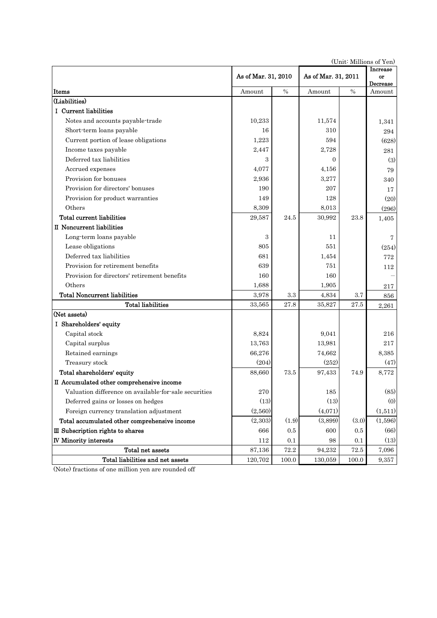|                                                       |                     |               |                | (OTHE MITHOUS OF THE<br>Increase |         |
|-------------------------------------------------------|---------------------|---------------|----------------|----------------------------------|---------|
|                                                       | As of Mar. 31, 2010 |               |                | As of Mar. 31, 2011<br>Decrease  |         |
| Items                                                 | Amount              | $\frac{0}{0}$ | Amount         | $\frac{0}{0}$                    | Amount  |
| (Liabilities)                                         |                     |               |                |                                  |         |
| I Current liabilities                                 |                     |               |                |                                  |         |
| Notes and accounts payable-trade                      | 10,233              |               | 11,574         |                                  | 1,341   |
| Short-term loans payable                              | 16                  |               | 310            |                                  | 294     |
| Current portion of lease obligations                  | 1,223               |               | 594            |                                  | (628)   |
| Income taxes payable                                  | 2,447               |               | 2,728          |                                  | 281     |
| Deferred tax liabilities                              | 3                   |               | $\overline{0}$ |                                  | (3)     |
| Accrued expenses                                      | 4,077               |               | 4,156          |                                  | 79      |
| Provision for bonuses                                 | 2,936               |               | 3,277          |                                  | 340     |
| Provision for directors' bonuses                      | 190                 |               | 207            |                                  | 17      |
| Provision for product warranties                      | 149                 |               | 128            |                                  | (20)    |
| Others                                                | 8,309               |               | 8,013          |                                  | (296)   |
| Total current liabilities                             | 29,587              | 24.5          | 30,992         | 23.8                             | 1,405   |
| II Noncurrent liabilities                             |                     |               |                |                                  |         |
| Long-term loans payable                               | 3                   |               | 11             |                                  | 7       |
| Lease obligations                                     | 805                 |               | 551            |                                  | (254)   |
| Deferred tax liabilities                              | 681                 |               | 1,454          |                                  | 772     |
| Provision for retirement benefits                     | 639                 |               | 751            |                                  | 112     |
| Provision for directors' retirement benefits          | 160                 |               | 160            |                                  |         |
| Others                                                | 1,688               |               | 1,905          |                                  | 217     |
| <b>Total Noncurrent liabilities</b>                   | 3,978               | 3.3           | 4,834          | 3.7                              | 856     |
| <b>Total liabilities</b>                              | 33,565              | 27.8          | 35,827         | 27.5                             | 2,261   |
| (Net assets)                                          |                     |               |                |                                  |         |
| I Shareholders' equity                                |                     |               |                |                                  |         |
| Capital stock                                         | 8,824               |               | 9,041          |                                  | 216     |
| Capital surplus                                       | 13,763              |               | 13,981         |                                  | 217     |
| Retained earnings                                     | 66,276              |               | 74,662         |                                  | 8,385   |
| Treasury stock                                        | (204)               |               | (252)          |                                  | (47)    |
| Total shareholders' equity                            | 88,660              | 73.5          | 97,433         | 74.9                             | 8,772   |
| II Accumulated other comprehensive income             |                     |               |                |                                  |         |
| Valuation difference on available-for-sale securities | 270                 |               | $185\,$        |                                  | (85)    |
| Deferred gains or losses on hedges                    | (13)                |               | (13)           |                                  | (0)     |
| Foreign currency translation adjustment               | (2,560)             |               | (4,071)        |                                  | (1,511) |
| Total accumulated other comprehensive income          | (2,303)             | (1.9)         | (3,899)        | (3.0)                            | (1,596) |
| III Subscription rights to shares                     | 666                 | 0.5           | 600            | $0.5\,$                          | (66)    |
| <b>IV Minority interests</b>                          | 112                 | 0.1           | 98             | 0.1                              | (13)    |
| Total net assets                                      | 87,136              | 72.2          | 94,232         | 72.5                             | 7,096   |
| Total liabilities and net assets                      | 120,702             | 100.0         | 130,059        | 100.0                            | 9,357   |

(Unit: Millions of Yen)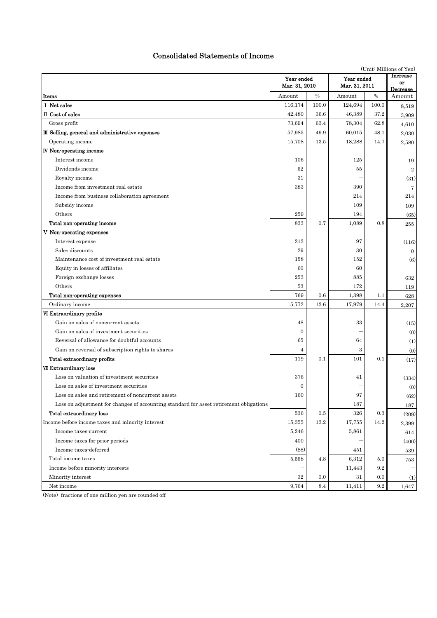## Consolidated Statements of Income

|                                                                                        |                             | (Unit: Millions of Yen) |                             |       |                            |
|----------------------------------------------------------------------------------------|-----------------------------|-------------------------|-----------------------------|-------|----------------------------|
|                                                                                        | Year ended<br>Mar. 31, 2010 |                         | Year ended<br>Mar. 31, 2011 |       | Increase<br>or<br>Decrease |
| Items                                                                                  | Amount                      | $\%$                    | Amount                      | $\%$  | Amount                     |
| I Net sales                                                                            | 116,174                     | 100.0                   | 124,694                     | 100.0 | 8,519                      |
| II Cost of sales                                                                       | 42,480                      | 36.6                    | 46,389                      | 37.2  | 3,909                      |
| Gross profit                                                                           | 73,694                      | 63.4                    | 78,304                      | 62.8  | 4,610                      |
| III Selling, general and administrative expenses                                       | 57,985                      | 49.9                    | 60,015                      | 48.1  | 2,030                      |
| Operating income                                                                       | 15,708                      | 13.5                    | 18,288                      | 14.7  | 2,580                      |
| <b>IV</b> Non-operating income                                                         |                             |                         |                             |       |                            |
| Interest income                                                                        | 106                         |                         | 125                         |       | 19                         |
| Dividends income                                                                       | 52                          |                         | 55                          |       | $\overline{2}$             |
| Royalty income                                                                         | 31                          |                         |                             |       | (31)                       |
| Income from investment real estate                                                     | 383                         |                         | 390                         |       | 7                          |
| Income from business collaboration agreement                                           |                             |                         | 214                         |       | 214                        |
| Subsidy income                                                                         |                             |                         | 109                         |       | 109                        |
| Others                                                                                 | 259                         |                         | 194                         |       | (65)                       |
| Total non-operating income                                                             | 833                         | 0.7                     | 1,089                       | 0.8   | 255                        |
| V Non-operating expenses                                                               |                             |                         |                             |       |                            |
| Interest expense                                                                       | 213                         |                         | 97                          |       | (116)                      |
| Sales discounts                                                                        | 29                          |                         | 30                          |       | $\overline{0}$             |
| Maintenance cost of investment real estate                                             | 158                         |                         | 152                         |       | $\left( 6\right)$          |
| Equity in losses of affiliates                                                         | 60                          |                         | 60                          |       |                            |
| Foreign exchange losses                                                                | 253                         |                         | 885                         |       | 632                        |
| Others                                                                                 | 53                          |                         | 172                         |       | 119                        |
| Total non-operating expenses                                                           | 769                         | 0.6                     | 1,398                       | 1.1   | 628                        |
| Ordinary income                                                                        | 15,772                      | 13.6                    | 17,979                      | 14.4  | 2,207                      |
| VI Extraordinary profits                                                               |                             |                         |                             |       |                            |
| Gain on sales of noncurrent assets                                                     | 48                          |                         | 33                          |       |                            |
| Gain on sales of investment securities                                                 | $\mathbf{0}$                |                         |                             |       | (15)                       |
| Reversal of allowance for doubtful accounts                                            | 65                          |                         | 64                          |       | (0)<br>(1)                 |
|                                                                                        | 4                           |                         | 3                           |       |                            |
| Gain on reversal of subscription rights to shares                                      | 119                         |                         | 101                         | 0.1   | (0)                        |
| Total extraordinary profits                                                            |                             | 0.1                     |                             |       | (17)                       |
| <b>VII Extraordinary loss</b><br>Loss on valuation of investment securities            |                             |                         |                             |       |                            |
|                                                                                        | 376                         |                         | 41                          |       | (334)                      |
| Loss on sales of investment securities                                                 | $\mathbf{0}$                |                         |                             |       | (0)                        |
| Loss on sales and retirement of noncurrent assets                                      | 160                         |                         | 97                          |       | (62)                       |
| Loss on adjustment for changes of accounting standard for asset retirement obligations |                             |                         | 187                         |       | $187\,$                    |
| Total extraordinary loss                                                               | 536                         | 0.5                     | 326                         | 0.3   | (209)                      |
| Income before income taxes and minority interest                                       | 15,355                      | 13.2                    | 17,755                      | 14.2  | 2,399                      |
| Income taxes-current                                                                   | 5,246                       |                         | 5,861                       |       | 614                        |
| Income taxes for prior periods                                                         | 400                         |                         |                             |       | (400)                      |
| Income taxes-deferred                                                                  | (88)                        |                         | 451                         |       | 539                        |
| Total income taxes                                                                     | 5,558                       | 4.8                     | 6,312                       | 5.0   | 753                        |
| Income before minority interests                                                       |                             |                         | 11,443                      | 9.2   |                            |
| Minority interest                                                                      | $32\,$                      | 0.0                     | 31                          | 0.0   | (1)                        |
| Net income                                                                             | 9,764                       | 8.4                     | 11,411                      | 9.2   | 1,647                      |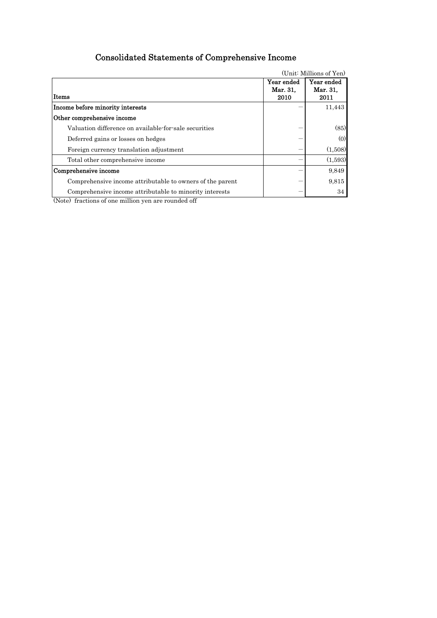# Consolidated Statements of Comprehensive Income

|                                                           | (Unit: Millions of Yen)        |                                |  |  |  |
|-----------------------------------------------------------|--------------------------------|--------------------------------|--|--|--|
| Items                                                     | Year ended<br>Mar. 31,<br>2010 | Year ended<br>Mar. 31,<br>2011 |  |  |  |
| Income before minority interests                          |                                | 11,443                         |  |  |  |
| Other comprehensive income                                |                                |                                |  |  |  |
| Valuation difference on available-for-sale securities     |                                | (85)                           |  |  |  |
| Deferred gains or losses on hedges                        |                                | (0)                            |  |  |  |
| Foreign currency translation adjustment                   |                                | (1,508)                        |  |  |  |
| Total other comprehensive income                          |                                | (1,593)                        |  |  |  |
| Comprehensive income                                      |                                | 9,849                          |  |  |  |
| Comprehensive income attributable to owners of the parent |                                | 9.815                          |  |  |  |
| Comprehensive income attributable to minority interests   |                                | 34                             |  |  |  |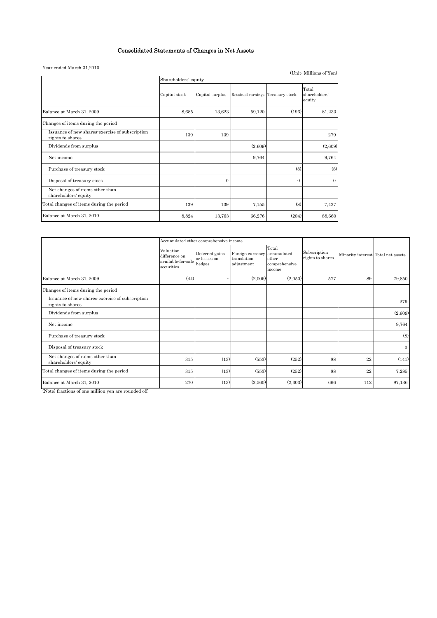## Consolidated Statements of Changes in Net Assets

#### Year ended March 31,2010

| Tear ended march 51,2010                                            |                      |                 |                   |                | (Unit: Millions of Yen)          |
|---------------------------------------------------------------------|----------------------|-----------------|-------------------|----------------|----------------------------------|
|                                                                     | Shareholders' equity |                 |                   |                |                                  |
|                                                                     | Capital stock        | Capital surplus | Retained earnings | Treasury stock | Total<br>shareholders'<br>equity |
| Balance at March 31, 2009                                           | 8,685                | 13,623          | 59,120            | (196)          | 81,233                           |
| Changes of items during the period                                  |                      |                 |                   |                |                                  |
| Issuance of new shares-exercise of subscription<br>rights to shares | 139                  | 139             |                   |                | 279                              |
| Dividends from surplus                                              |                      |                 | (2,609)           |                | (2,609)                          |
| Net income                                                          |                      |                 | 9,764             |                | 9,764                            |
| Purchase of treasury stock                                          |                      |                 |                   | (8)            | (8)                              |
| Disposal of treasury stock                                          |                      | $\Omega$        |                   | $\Omega$       | $\Omega$                         |
| Net changes of items other than<br>shareholders' equity             |                      |                 |                   |                |                                  |
| Total changes of items during the period                            | 139                  | 139             | 7,155             | (8)            | 7,427                            |
| Balance at March 31, 2010                                           | 8,824                | 13,763          | 66,276            | (204)          | 88,660                           |

|                                                                     |                                                                | Accumulated other comprehensive income   |                                               |                                                          |                                  |                                    |              |
|---------------------------------------------------------------------|----------------------------------------------------------------|------------------------------------------|-----------------------------------------------|----------------------------------------------------------|----------------------------------|------------------------------------|--------------|
|                                                                     | Valuation<br>difference on<br>available-for-sale<br>securities | Deferred gains<br>or losses on<br>hedges | Foreign currency<br>translation<br>adjustment | Total<br>accumulated<br>other<br>comprehensive<br>income | Subscription<br>rights to shares | Minority interest Total net assets |              |
| Balance at March 31, 2009                                           | (44)                                                           |                                          | (2,006)                                       | (2,050)                                                  | 577                              | 89                                 | 79,850       |
| Changes of items during the period                                  |                                                                |                                          |                                               |                                                          |                                  |                                    |              |
| Issuance of new shares exercise of subscription<br>rights to shares |                                                                |                                          |                                               |                                                          |                                  |                                    | 279          |
| Dividends from surplus                                              |                                                                |                                          |                                               |                                                          |                                  |                                    | (2,609)      |
| Net income                                                          |                                                                |                                          |                                               |                                                          |                                  |                                    | 9,764        |
| Purchase of treasury stock                                          |                                                                |                                          |                                               |                                                          |                                  |                                    | (8)          |
| Disposal of treasury stock                                          |                                                                |                                          |                                               |                                                          |                                  |                                    | $\mathbf{0}$ |
| Net changes of items other than<br>shareholders' equity             | 315                                                            | (13)                                     | (553)                                         | (252)                                                    | 88                               | 22                                 | (141)        |
| Total changes of items during the period                            | 315                                                            | (13)                                     | (553)                                         | (252)                                                    | 88                               | 22                                 | 7,285        |
| Balance at March 31, 2010                                           | 270                                                            | (13)                                     | (2,560)                                       | (2,303)                                                  | 666                              | 112                                | 87,136       |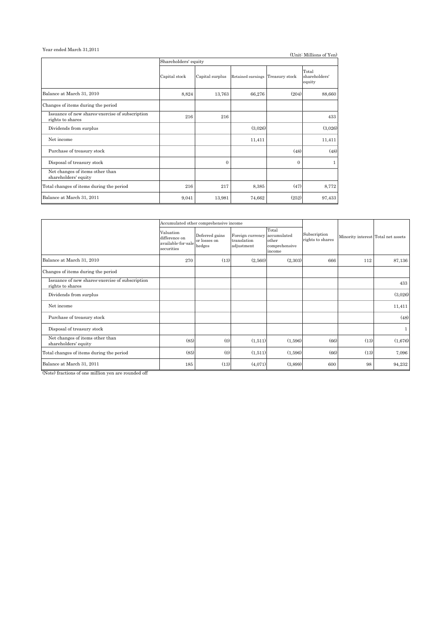#### Year ended March 31,2011

| rear ended march 01,2011                                            |                      |                 |                                  |          | (Unit: Millions of Yen)          |
|---------------------------------------------------------------------|----------------------|-----------------|----------------------------------|----------|----------------------------------|
|                                                                     | Shareholders' equity |                 |                                  |          |                                  |
|                                                                     | Capital stock        | Capital surplus | Retained earnings Treasury stock |          | Total<br>shareholders'<br>equity |
| Balance at March 31, 2010                                           | 8,824                | 13,763          | 66,276                           | (204)    | 88,660                           |
| Changes of items during the period                                  |                      |                 |                                  |          |                                  |
| Issuance of new shares-exercise of subscription<br>rights to shares | 216                  | 216             |                                  |          | 433                              |
| Dividends from surplus                                              |                      |                 | (3,026)                          |          | (3,026)                          |
| Net income                                                          |                      |                 | 11,411                           |          | 11,411                           |
| Purchase of treasury stock                                          |                      |                 |                                  | (48)     | (48)                             |
| Disposal of treasury stock                                          |                      | $\Omega$        |                                  | $\Omega$ | 1                                |
| Net changes of items other than<br>shareholders' equity             |                      |                 |                                  |          |                                  |
| Total changes of items during the period                            | 216                  | 217             | 8,385                            | (47)     | 8,772                            |
| Balance at March 31, 2011                                           | 9,041                | 13,981          | 74,662                           | (252)    | 97,433                           |

|                                                                     |                                                                | Accumulated other comprehensive income   |                                                           |                                           |                                  |                                    |         |
|---------------------------------------------------------------------|----------------------------------------------------------------|------------------------------------------|-----------------------------------------------------------|-------------------------------------------|----------------------------------|------------------------------------|---------|
|                                                                     | Valuation<br>difference on<br>available-for-sale<br>securities | Deferred gains<br>or losses on<br>hedges | Foreign currency accumulated<br>translation<br>adjustment | Total<br>other<br>comprehensive<br>income | Subscription<br>rights to shares | Minority interest Total net assets |         |
| Balance at March 31, 2010                                           | 270                                                            | (13)                                     | (2,560)                                                   | (2,303)                                   | 666                              | 112                                | 87,136  |
| Changes of items during the period                                  |                                                                |                                          |                                                           |                                           |                                  |                                    |         |
| Issuance of new shares-exercise of subscription<br>rights to shares |                                                                |                                          |                                                           |                                           |                                  |                                    | 433     |
| Dividends from surplus                                              |                                                                |                                          |                                                           |                                           |                                  |                                    | (3,026) |
| Net income                                                          |                                                                |                                          |                                                           |                                           |                                  |                                    | 11,411  |
| Purchase of treasury stock                                          |                                                                |                                          |                                                           |                                           |                                  |                                    | (48)    |
| Disposal of treasury stock                                          |                                                                |                                          |                                                           |                                           |                                  |                                    |         |
| Net changes of items other than<br>shareholders' equity             | (85)                                                           | (0)                                      | (1,511)                                                   | (1,596)                                   | (66)                             | (13)                               | (1,676) |
| Total changes of items during the period                            | (85)                                                           | (0)                                      | (1,511)                                                   | (1,596)                                   | (66)                             | (13)                               | 7,096   |
| Balance at March 31, 2011                                           | 185                                                            | (13)                                     | (4,071)                                                   | (3,899)                                   | 600                              | 98                                 | 94,232  |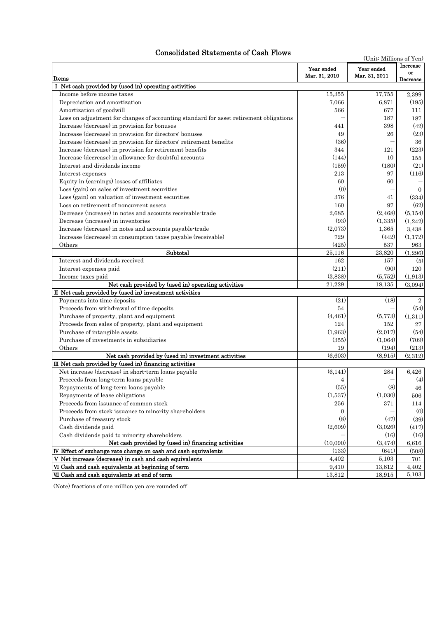## Consolidated Statements of Cash Flows

| лниате платение оп                                                                     | (Unit: Millions of Yen)     |                             |                            |
|----------------------------------------------------------------------------------------|-----------------------------|-----------------------------|----------------------------|
| Items                                                                                  | Year ended<br>Mar. 31, 2010 | Year ended<br>Mar. 31, 2011 | Increase<br>or<br>Decrease |
| I Net cash provided by (used in) operating activities                                  |                             |                             |                            |
| Income before income taxes                                                             | 15,355                      | 17,755                      | 2,399                      |
| Depreciation and amortization                                                          | 7,066                       | 6,871                       | (195)                      |
| Amortization of goodwill                                                               | 566                         | 677                         | 111                        |
| Loss on adjustment for changes of accounting standard for asset retirement obligations |                             | 187                         | 187                        |
| Increase (decrease) in provision for bonuses                                           | 441                         | 398                         | (42)                       |
| Increase (decrease) in provision for directors' bonuses                                | 49                          | 26                          | (23)                       |
| Increase (decrease) in provision for directors' retirement benefits                    | (36)                        |                             | 36                         |
| Increase (decrease) in provision for retirement benefits                               | 344                         | 121                         | (223)                      |
| Increase (decrease) in allowance for doubtful accounts                                 | (144)                       | 10                          | 155                        |
| Interest and dividends income                                                          | (159)                       | (180)                       | (21)                       |
| Interest expenses                                                                      | 213                         | 97                          | (116)                      |
| Equity in (earnings) losses of affiliates                                              | 60                          | 60                          |                            |
| Loss (gain) on sales of investment securities                                          | (0)                         |                             | $\Omega$                   |
| Loss (gain) on valuation of investment securities                                      | 376                         | 41                          | (334)                      |
| Loss on retirement of noncurrent assets                                                | 160                         | 97                          | (62)                       |
| Decrease (increase) in notes and accounts receivable-trade                             | 2,685                       | (2, 468)                    | (5, 154)                   |
| Decrease (increase) in inventories                                                     | (93)                        | (1,335)                     | (1,242)                    |
| Increase (decrease) in notes and accounts payable-trade                                | (2.073)                     | 1,365                       | 3,438                      |
| Increase (decrease) in consumption taxes payable (receivable)                          | 729                         | (442)                       | (1,172)                    |
| Others                                                                                 | (425)                       | 537                         | 963                        |
| Subtotal                                                                               | 25,116                      | 23,820                      | (1,296)                    |
| Interest and dividends received                                                        | 162                         | 157                         | (5)                        |
| Interest expenses paid                                                                 | (211)                       | (90)                        | 120                        |
| Income taxes paid                                                                      | (3,838)                     | (5, 752)                    | (1, 913)                   |
| Net cash provided by (used in) operating activities                                    | 21,229                      | 18,135                      | (3,094)                    |
| II Net cash provided by (used in) investment activities                                |                             |                             |                            |
| Payments into time deposits                                                            | (21)                        | (18)                        | $\overline{2}$             |
| Proceeds from withdrawal of time deposits                                              | 54                          |                             | (54)                       |
| Purchase of property, plant and equipment                                              | (4, 461)                    | (5,773)                     | (1,311)                    |
| Proceeds from sales of property, plant and equipment                                   | 124                         | 152                         | 27                         |
| Purchase of intangible assets                                                          | (1,963)                     | (2,017)                     | (54)                       |
| Purchase of investments in subsidiaries                                                | (355)                       | (1,064)                     | (709)                      |
| Others                                                                                 | 19                          | (194)                       | (213)                      |
| Net cash provided by (used in) investment activities                                   | (6,603)                     | (8,915)                     | (2,312)                    |
| III Net cash provided by (used in) financing activities                                |                             |                             |                            |
| Net increase (decrease) in short-term loans payable                                    | (6,141)                     | 284                         | 6,426                      |
| Proceeds from long-term loans payable                                                  | 4                           |                             | (4)                        |
| Repayments of long-term loans payable                                                  | (55)                        | (8)                         | 46                         |
| Repayments of lease obligations                                                        | (1,537)                     | (1,030)                     | 506                        |
| Proceeds from issuance of common stock                                                 | 256                         | 371                         | 114                        |
| Proceeds from stock issuance to minority shareholders                                  | 0                           |                             | (0)                        |
| Purchase of treasury stock                                                             | (8)                         | (47)                        | (39)                       |
| Cash dividends paid                                                                    | (2,609)                     | (3,026)                     | (417)                      |
| Cash dividends paid to minority shareholders                                           |                             | (16)                        | (16)                       |
| Net cash provided by (used in) financing activities                                    | (10,090)                    | (3, 474)                    | 6,616                      |
| IV Effect of exchange rate change on cash and cash equivalents                         | (133)                       | (641)                       | (508)                      |
| V Net increase (decrease) in cash and cash equivalents                                 | 4,402                       | 5,103                       | 701                        |
| VI Cash and cash equivalents at beginning of term                                      | 9,410                       | 13,812                      | 4,402                      |
| VII Cash and cash equivalents at end of term                                           | 13,812                      | 18,915                      | 5,103                      |